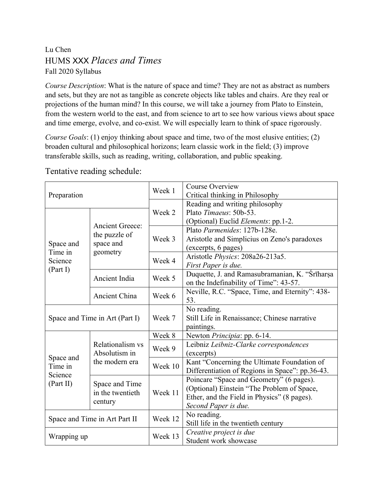## Lu Chen HUMS XXX *Places and Times* Fall 2020 Syllabus

*Course Description*: What is the nature of space and time? They are not as abstract as numbers and sets, but they are not as tangible as concrete objects like tables and chairs. Are they real or projections of the human mind? In this course, we will take a journey from Plato to Einstein, from the western world to the east, and from science to art to see how various views about space and time emerge, evolve, and co-exist. We will especially learn to think of space rigorously.

*Course Goals*: (1) enjoy thinking about space and time, two of the most elusive entities; (2) broaden cultural and philosophical horizons; learn classic work in the field; (3) improve transferable skills, such as reading, writing, collaboration, and public speaking.

| Preparation                                  |                                                                  | Week 1  | <b>Course Overview</b><br>Critical thinking in Philosophy                                                                                                     |
|----------------------------------------------|------------------------------------------------------------------|---------|---------------------------------------------------------------------------------------------------------------------------------------------------------------|
| Space and<br>Time in<br>Science<br>(Part I)  | <b>Ancient Greece:</b><br>the puzzle of<br>space and<br>geometry | Week 2  | Reading and writing philosophy<br>Plato Timaeus: 50b-53.<br>(Optional) Euclid Elements: pp.1-2.                                                               |
|                                              |                                                                  | Week 3  | Plato Parmenides: 127b-128e.<br>Aristotle and Simplicius on Zeno's paradoxes<br>(excerpts, 6 pages)                                                           |
|                                              |                                                                  | Week 4  | Aristotle Physics: 208a26-213a5.<br>First Paper is due.                                                                                                       |
|                                              | Ancient India                                                    | Week 5  | Duquette, J. and Ramasubramanian, K. "Srīharsa<br>on the Indefinability of Time": 43-57.                                                                      |
|                                              | Ancient China                                                    | Week 6  | Neville, R.C. "Space, Time, and Eternity": 438-<br>53.                                                                                                        |
| Space and Time in Art (Part I)               |                                                                  | Week 7  | No reading.<br>Still Life in Renaissance; Chinese narrative<br>paintings.                                                                                     |
| Space and<br>Time in<br>Science<br>(Part II) | Relationalism vs<br>Absolutism in<br>the modern era              | Week 8  | Newton Principia: pp. 6-14.                                                                                                                                   |
|                                              |                                                                  | Week 9  | Leibniz Leibniz-Clarke correspondences<br>(excerpts)                                                                                                          |
|                                              |                                                                  | Week 10 | Kant "Concerning the Ultimate Foundation of<br>Differentiation of Regions in Space": pp.36-43.                                                                |
|                                              | Space and Time<br>in the twentieth<br>century                    | Week 11 | Poincare "Space and Geometry" (6 pages).<br>(Optional) Einstein "The Problem of Space,<br>Ether, and the Field in Physics" (8 pages).<br>Second Paper is due. |
| Space and Time in Art Part II                |                                                                  | Week 12 | No reading.<br>Still life in the twentieth century                                                                                                            |
| Wrapping up                                  |                                                                  | Week 13 | Creative project is due<br>Student work showcase                                                                                                              |

Tentative reading schedule: